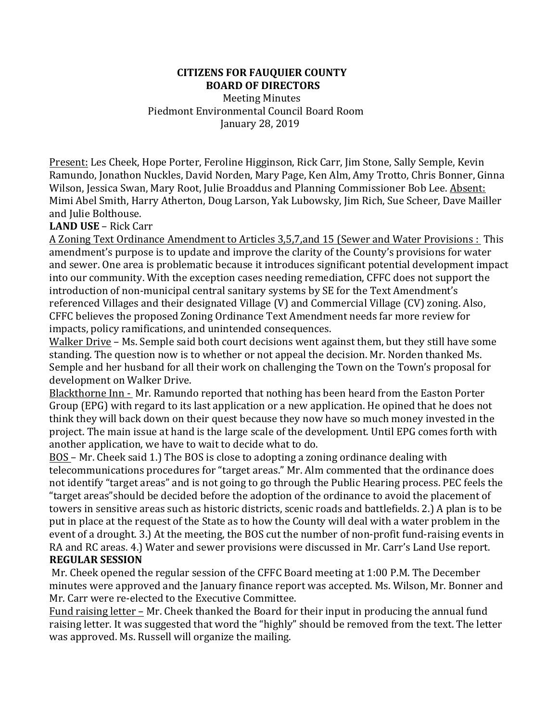### **CITIZENS FOR FAUQUIER COUNTY BOARD OF DIRECTORS**

**Meeting Minutes** Piedmont Environmental Council Board Room January 28, 2019

Present: Les Cheek, Hope Porter, Feroline Higginson, Rick Carr, Jim Stone, Sally Semple, Kevin Ramundo, Jonathon Nuckles, David Norden, Mary Page, Ken Alm, Amy Trotto, Chris Bonner, Ginna Wilson, Jessica Swan, Mary Root, Julie Broaddus and Planning Commissioner Bob Lee. Absent: Mimi Abel Smith, Harry Atherton, Doug Larson, Yak Lubowsky, Jim Rich, Sue Scheer, Dave Mailler and Julie Bolthouse.

### **LAND USE** – Rick Carr

A Zoning Text Ordinance Amendment to Articles 3,5,7,and 15 (Sewer and Water Provisions: This amendment's purpose is to update and improve the clarity of the County's provisions for water and sewer. One area is problematic because it introduces significant potential development impact into our community. With the exception cases needing remediation, CFFC does not support the introduction of non-municipal central sanitary systems by SE for the Text Amendment's referenced Villages and their designated Village (V) and Commercial Village (CV) zoning. Also, CFFC believes the proposed Zoning Ordinance Text Amendment needs far more review for impacts, policy ramifications, and unintended consequences.

Walker Drive – Ms. Semple said both court decisions went against them, but they still have some standing. The question now is to whether or not appeal the decision. Mr. Norden thanked Ms. Semple and her husband for all their work on challenging the Town on the Town's proposal for development on Walker Drive.

Blackthorne Inn - Mr. Ramundo reported that nothing has been heard from the Easton Porter Group (EPG) with regard to its last application or a new application. He opined that he does not think they will back down on their quest because they now have so much money invested in the project. The main issue at hand is the large scale of the development. Until EPG comes forth with another application, we have to wait to decide what to do.

BOS – Mr. Cheek said 1.) The BOS is close to adopting a zoning ordinance dealing with telecommunications procedures for "target areas." Mr. Alm commented that the ordinance does not identify "target areas" and is not going to go through the Public Hearing process. PEC feels the "target areas" should be decided before the adoption of the ordinance to avoid the placement of towers in sensitive areas such as historic districts, scenic roads and battlefields. 2.) A plan is to be put in place at the request of the State as to how the County will deal with a water problem in the event of a drought. 3.) At the meeting, the BOS cut the number of non-profit fund-raising events in RA and RC areas. 4.) Water and sewer provisions were discussed in Mr. Carr's Land Use report. **REGULAR SESSION**

Mr. Cheek opened the regular session of the CFFC Board meeting at 1:00 P.M. The December minutes were approved and the January finance report was accepted. Ms. Wilson, Mr. Bonner and Mr. Carr were re-elected to the Executive Committee.

Fund raising letter - Mr. Cheek thanked the Board for their input in producing the annual fund raising letter. It was suggested that word the "highly" should be removed from the text. The letter was approved. Ms. Russell will organize the mailing.